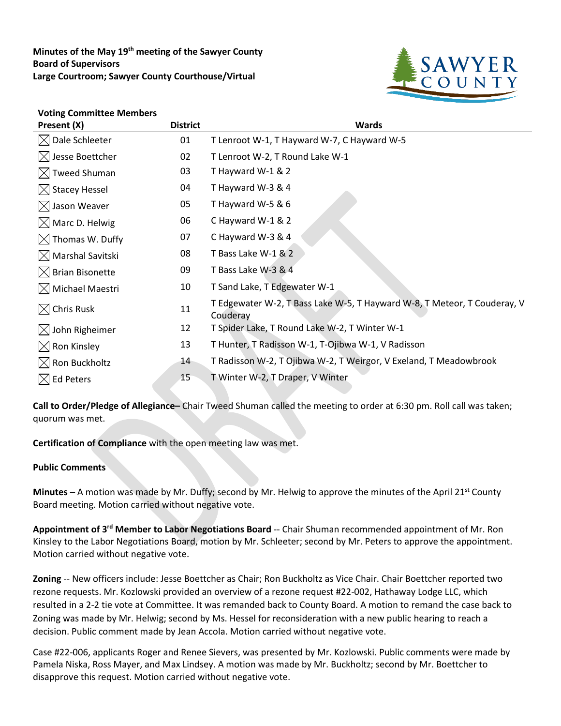**Minutes of the May 19th meeting of the Sawyer County Board of Supervisors Large Courtroom; Sawyer County Courthouse/Virtual**



## **Voting Committee Members**

| Present (X)                  | <b>District</b> | <b>Wards</b>                                                                         |
|------------------------------|-----------------|--------------------------------------------------------------------------------------|
| $\boxtimes$ Dale Schleeter   | 01              | T Lenroot W-1, T Hayward W-7, C Hayward W-5                                          |
| $\boxtimes$ Jesse Boettcher  | 02              | T Lenroot W-2, T Round Lake W-1                                                      |
| $\boxtimes$ Tweed Shuman     | 03              | T Hayward W-1 & 2                                                                    |
| $\boxtimes$ Stacey Hessel    | 04              | T Hayward W-3 & 4                                                                    |
| $\boxtimes$ Jason Weaver     | 05              | T Hayward W-5 & 6                                                                    |
| $\boxtimes$ Marc D. Helwig   | 06              | C Hayward W-1 & 2                                                                    |
| $\boxtimes$ Thomas W. Duffy  | 07              | C Hayward W-3 & 4                                                                    |
| $\boxtimes$ Marshal Savitski | 08              | T Bass Lake W-1 & 2                                                                  |
| $\boxtimes$ Brian Bisonette  | 09              | T Bass Lake W-3 & 4                                                                  |
| $\boxtimes$ Michael Maestri  | 10              | T Sand Lake, T Edgewater W-1                                                         |
| $\boxtimes$ Chris Rusk       | 11              | T Edgewater W-2, T Bass Lake W-5, T Hayward W-8, T Meteor, T Couderay, V<br>Couderay |
| $\boxtimes$ John Righeimer   | 12              | T Spider Lake, T Round Lake W-2, T Winter W-1                                        |
| $\boxtimes$ Ron Kinsley      | 13              | T Hunter, T Radisson W-1, T-Ojibwa W-1, V Radisson                                   |
| $\boxtimes$ Ron Buckholtz    | 14              | T Radisson W-2, T Ojibwa W-2, T Weirgor, V Exeland, T Meadowbrook                    |
| $\boxtimes$ Ed Peters        | 15              | T Winter W-2, T Draper, V Winter                                                     |

**Call to Order/Pledge of Allegiance–** Chair Tweed Shuman called the meeting to order at 6:30 pm. Roll call was taken; quorum was met.

**Certification of Compliance** with the open meeting law was met.

## **Public Comments**

**Minutes –** A motion was made by Mr. Duffy; second by Mr. Helwig to approve the minutes of the April 21<sup>st</sup> County Board meeting. Motion carried without negative vote.

**Appointment of 3rd Member to Labor Negotiations Board** -- Chair Shuman recommended appointment of Mr. Ron Kinsley to the Labor Negotiations Board, motion by Mr. Schleeter; second by Mr. Peters to approve the appointment. Motion carried without negative vote.

**Zoning** -- New officers include: Jesse Boettcher as Chair; Ron Buckholtz as Vice Chair. Chair Boettcher reported two rezone requests. Mr. Kozlowski provided an overview of a rezone request #22-002, Hathaway Lodge LLC, which resulted in a 2-2 tie vote at Committee. It was remanded back to County Board. A motion to remand the case back to Zoning was made by Mr. Helwig; second by Ms. Hessel for reconsideration with a new public hearing to reach a decision. Public comment made by Jean Accola. Motion carried without negative vote.

Case #22-006, applicants Roger and Renee Sievers, was presented by Mr. Kozlowski. Public comments were made by Pamela Niska, Ross Mayer, and Max Lindsey. A motion was made by Mr. Buckholtz; second by Mr. Boettcher to disapprove this request. Motion carried without negative vote.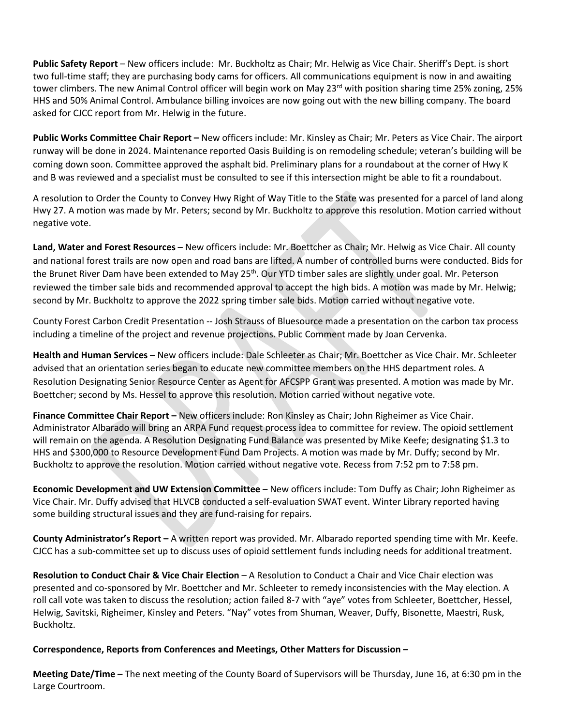**Public Safety Report** – New officers include: Mr. Buckholtz as Chair; Mr. Helwig as Vice Chair. Sheriff's Dept. is short two full-time staff; they are purchasing body cams for officers. All communications equipment is now in and awaiting tower climbers. The new Animal Control officer will begin work on May 23<sup>rd</sup> with position sharing time 25% zoning, 25% HHS and 50% Animal Control. Ambulance billing invoices are now going out with the new billing company. The board asked for CJCC report from Mr. Helwig in the future.

**Public Works Committee Chair Report –** New officers include: Mr. Kinsley as Chair; Mr. Peters as Vice Chair. The airport runway will be done in 2024. Maintenance reported Oasis Building is on remodeling schedule; veteran's building will be coming down soon. Committee approved the asphalt bid. Preliminary plans for a roundabout at the corner of Hwy K and B was reviewed and a specialist must be consulted to see if this intersection might be able to fit a roundabout.

A resolution to Order the County to Convey Hwy Right of Way Title to the State was presented for a parcel of land along Hwy 27. A motion was made by Mr. Peters; second by Mr. Buckholtz to approve this resolution. Motion carried without negative vote.

**Land, Water and Forest Resources** – New officers include: Mr. Boettcher as Chair; Mr. Helwig as Vice Chair. All county and national forest trails are now open and road bans are lifted. A number of controlled burns were conducted. Bids for the Brunet River Dam have been extended to May 25<sup>th</sup>. Our YTD timber sales are slightly under goal. Mr. Peterson reviewed the timber sale bids and recommended approval to accept the high bids. A motion was made by Mr. Helwig; second by Mr. Buckholtz to approve the 2022 spring timber sale bids. Motion carried without negative vote.

County Forest Carbon Credit Presentation -- Josh Strauss of Bluesource made a presentation on the carbon tax process including a timeline of the project and revenue projections. Public Comment made by Joan Cervenka.

**Health and Human Services** – New officers include: Dale Schleeter as Chair; Mr. Boettcher as Vice Chair. Mr. Schleeter advised that an orientation series began to educate new committee members on the HHS department roles. A Resolution Designating Senior Resource Center as Agent for AFCSPP Grant was presented. A motion was made by Mr. Boettcher; second by Ms. Hessel to approve this resolution. Motion carried without negative vote.

**Finance Committee Chair Report –** New officers include: Ron Kinsley as Chair; John Righeimer as Vice Chair. Administrator Albarado will bring an ARPA Fund request process idea to committee for review. The opioid settlement will remain on the agenda. A Resolution Designating Fund Balance was presented by Mike Keefe; designating \$1.3 to HHS and \$300,000 to Resource Development Fund Dam Projects. A motion was made by Mr. Duffy; second by Mr. Buckholtz to approve the resolution. Motion carried without negative vote. Recess from 7:52 pm to 7:58 pm.

**Economic Development and UW Extension Committee** – New officers include: Tom Duffy as Chair; John Righeimer as Vice Chair. Mr. Duffy advised that HLVCB conducted a self-evaluation SWAT event. Winter Library reported having some building structural issues and they are fund-raising for repairs.

**County Administrator's Report –** A written report was provided. Mr. Albarado reported spending time with Mr. Keefe. CJCC has a sub-committee set up to discuss uses of opioid settlement funds including needs for additional treatment.

**Resolution to Conduct Chair & Vice Chair Election** – A Resolution to Conduct a Chair and Vice Chair election was presented and co-sponsored by Mr. Boettcher and Mr. Schleeter to remedy inconsistencies with the May election. A roll call vote was taken to discuss the resolution; action failed 8-7 with "aye" votes from Schleeter, Boettcher, Hessel, Helwig, Savitski, Righeimer, Kinsley and Peters. "Nay" votes from Shuman, Weaver, Duffy, Bisonette, Maestri, Rusk, Buckholtz.

## **Correspondence, Reports from Conferences and Meetings, Other Matters for Discussion –**

**Meeting Date/Time –** The next meeting of the County Board of Supervisors will be Thursday, June 16, at 6:30 pm in the Large Courtroom.